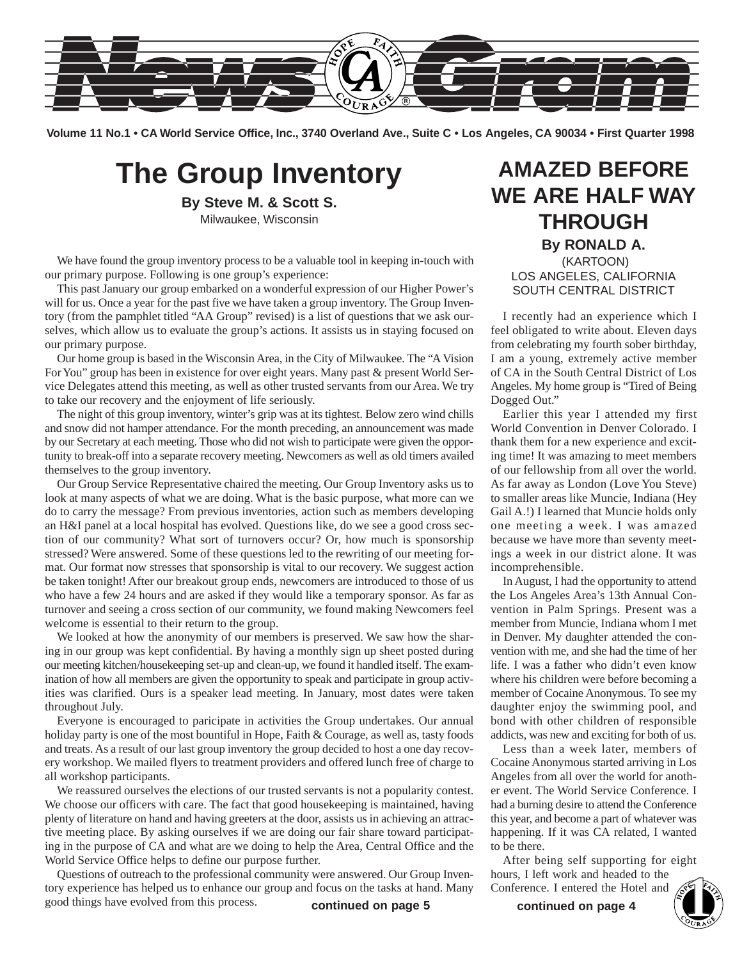

**Volume 11 No.1 • CA World Service Office, Inc., 3740 Overland Ave., Suite C • Los Angeles, CA 90034 • First Quarter 1998**

## **The Group Inventory**

**By Steve M. & Scott S.** Milwaukee, Wisconsin

We have found the group inventory process to be a valuable tool in keeping in-touch with our primary purpose. Following is one group's experience:

This past January our group embarked on a wonderful expression of our Higher Power's will for us. Once a year for the past five we have taken a group inventory. The Group Inventory (from the pamphlet titled "AA Group" revised) is a list of questions that we ask ourselves, which allow us to evaluate the group's actions. It assists us in staying focused on our primary purpose.

Our home group is based in the Wisconsin Area, in the City of Milwaukee. The "A Vision For You" group has been in existence for over eight years. Many past & present World Service Delegates attend this meeting, as well as other trusted servants from our Area. We try to take our recovery and the enjoyment of life seriously.

The night of this group inventory, winter's grip was at its tightest. Below zero wind chills and snow did not hamper attendance. For the month preceding, an announcement was made by our Secretary at each meeting. Those who did not wish to participate were given the opportunity to break-off into a separate recovery meeting. Newcomers as well as old timers availed themselves to the group inventory.

Our Group Service Representative chaired the meeting. Our Group Inventory asks us to look at many aspects of what we are doing. What is the basic purpose, what more can we do to carry the message? From previous inventories, action such as members developing an H&I panel at a local hospital has evolved. Questions like, do we see a good cross section of our community? What sort of turnovers occur? Or, how much is sponsorship stressed? Were answered. Some of these questions led to the rewriting of our meeting format. Our format now stresses that sponsorship is vital to our recovery. We suggest action be taken tonight! After our breakout group ends, newcomers are introduced to those of us who have a few 24 hours and are asked if they would like a temporary sponsor. As far as turnover and seeing a cross section of our community, we found making Newcomers feel welcome is essential to their return to the group.

We looked at how the anonymity of our members is preserved. We saw how the sharing in our group was kept confidential. By having a monthly sign up sheet posted during our meeting kitchen/housekeeping set-up and clean-up, we found it handled itself. The examination of how all members are given the opportunity to speak and participate in group activities was clarified. Ours is a speaker lead meeting. In January, most dates were taken throughout July.

Everyone is encouraged to paricipate in activities the Group undertakes. Our annual holiday party is one of the most bountiful in Hope, Faith & Courage, as well as, tasty foods and treats. As a result of our last group inventory the group decided to host a one day recovery workshop. We mailed flyers to treatment providers and offered lunch free of charge to all workshop participants.

We reassured ourselves the elections of our trusted servants is not a popularity contest. We choose our officers with care. The fact that good housekeeping is maintained, having plenty of literature on hand and having greeters at the door, assists us in achieving an attractive meeting place. By asking ourselves if we are doing our fair share toward participating in the purpose of CA and what are we doing to help the Area, Central Office and the World Service Office helps to define our purpose further.

Questions of outreach to the professional community were answered. Our Group Inventory experience has helped us to enhance our group and focus on the tasks at hand. Many good things have evolved from this process. were answered. Our Group Inventionum bours, I left work and headed to the focus on the tasks at hand. Many Conference. I entered the Hotel and **continued on page 4 continued on page 4 continued on page 4** 

## **AMAZED BEFORE WE ARE HALF WAY THROUGH By RONALD A.** (KARTOON)

LOS ANGELES, CALIFORNIA SOUTH CENTRAL DISTRICT

I recently had an experience which I feel obligated to write about. Eleven days from celebrating my fourth sober birthday, I am a young, extremely active member of CA in the South Central District of Los Angeles. My home group is "Tired of Being Dogged Out."

Earlier this year I attended my first World Convention in Denver Colorado. I thank them for a new experience and exciting time! It was amazing to meet members of our fellowship from all over the world. As far away as London (Love You Steve) to smaller areas like Muncie, Indiana (Hey Gail A.!) I learned that Muncie holds only one meeting a week. I was amazed because we have more than seventy meetings a week in our district alone. It was incomprehensible.

In August, I had the opportunity to attend the Los Angeles Area's 13th Annual Convention in Palm Springs. Present was a member from Muncie, Indiana whom I met in Denver. My daughter attended the convention with me, and she had the time of her life. I was a father who didn't even know where his children were before becoming a member of Cocaine Anonymous. To see my daughter enjoy the swimming pool, and bond with other children of responsible addicts, was new and exciting for both of us.

Less than a week later, members of Cocaine Anonymous started arriving in Los Angeles from all over the world for another event. The World Service Conference. I had a burning desire to attend the Conference this year, and become a part of whatever was happening. If it was CA related, I wanted to be there.

After being self supporting for eight hours, I left work and headed to the Conference. I entered the Hotel and

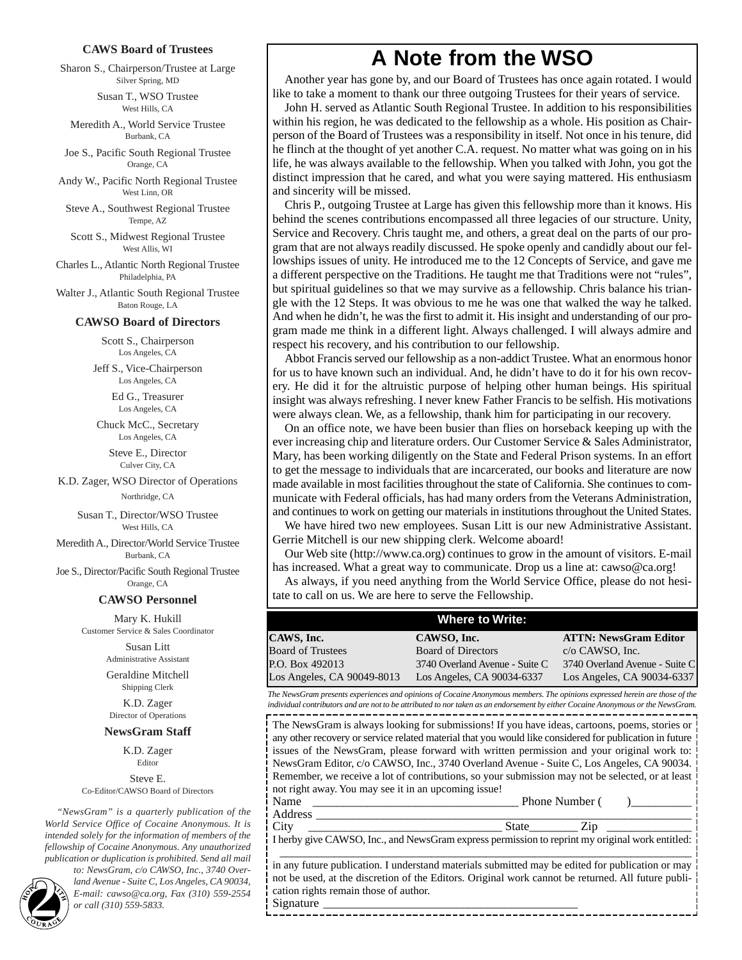#### **CAWS Board of Trustees**

Sharon S., Chairperson/Trustee at Large Silver Spring, MD

> Susan T., WSO Trustee West Hills, CA

Meredith A., World Service Trustee Burbank, CA

Joe S., Pacific South Regional Trustee Orange, CA

Andy W., Pacific North Regional Trustee West Linn, OR

Steve A., Southwest Regional Trustee Tempe, AZ

Scott S., Midwest Regional Trustee West Allis, WI

Charles L., Atlantic North Regional Trustee Philadelphia, PA

Walter J., Atlantic South Regional Trustee Baton Rouge, LA

#### **CAWSO Board of Directors**

Scott S., Chairperson Los Angeles, CA

Jeff S., Vice-Chairperson Los Angeles, CA

> Ed G., Treasurer Los Angeles, CA

Chuck McC., Secretary Los Angeles, CA

> Steve E., Director Culver City, CA

K.D. Zager, WSO Director of Operations Northridge, CA

> Susan T., Director/WSO Trustee West Hills, CA

Meredith A., Director/World Service Trustee Burbank, CA

Joe S., Director/Pacific South Regional Trustee Orange, CA

#### **CAWSO Personnel**

Mary K. Hukill Customer Service & Sales Coordinator

> Susan Litt Administrative Assistant

Geraldine Mitchell Shipping Clerk

K.D. Zager Director of Operations

#### **NewsGram Staff**

K.D. Zager Editor Steve E. Co-Editor/CAWSO Board of Directors

*"NewsGram" is a quarterly publication of the World Service Office of Cocaine Anonymous. It is intended solely for the information of members of the fellowship of Cocaine Anonymous. Any unauthorized publication or duplication is prohibited. Send all mail*

*to: NewsGram, c/o CAWSO, Inc., 3740 Overland Avenue - Suite C, Los Angeles, CA 90034, E-mail: cawso@ca.org, Fax (310) 559-2554* **2** *or call (310) 559-5833.*

## **A Note from the WSO**

Another year has gone by, and our Board of Trustees has once again rotated. I would like to take a moment to thank our three outgoing Trustees for their years of service.

John H. served as Atlantic South Regional Trustee. In addition to his responsibilities within his region, he was dedicated to the fellowship as a whole. His position as Chairperson of the Board of Trustees was a responsibility in itself. Not once in his tenure, did he flinch at the thought of yet another C.A. request. No matter what was going on in his life, he was always available to the fellowship. When you talked with John, you got the distinct impression that he cared, and what you were saying mattered. His enthusiasm and sincerity will be missed.

Chris P., outgoing Trustee at Large has given this fellowship more than it knows. His behind the scenes contributions encompassed all three legacies of our structure. Unity, Service and Recovery. Chris taught me, and others, a great deal on the parts of our program that are not always readily discussed. He spoke openly and candidly about our fellowships issues of unity. He introduced me to the 12 Concepts of Service, and gave me a different perspective on the Traditions. He taught me that Traditions were not "rules", but spiritual guidelines so that we may survive as a fellowship. Chris balance his triangle with the 12 Steps. It was obvious to me he was one that walked the way he talked. And when he didn't, he was the first to admit it. His insight and understanding of our program made me think in a different light. Always challenged. I will always admire and respect his recovery, and his contribution to our fellowship.

Abbot Francis served our fellowship as a non-addict Trustee. What an enormous honor for us to have known such an individual. And, he didn't have to do it for his own recovery. He did it for the altruistic purpose of helping other human beings. His spiritual insight was always refreshing. I never knew Father Francis to be selfish. His motivations were always clean. We, as a fellowship, thank him for participating in our recovery.

On an office note, we have been busier than flies on horseback keeping up with the ever increasing chip and literature orders. Our Customer Service & Sales Administrator, Mary, has been working diligently on the State and Federal Prison systems. In an effort to get the message to individuals that are incarcerated, our books and literature are now made available in most facilities throughout the state of California. She continues to communicate with Federal officials, has had many orders from the Veterans Administration, and continues to work on getting our materials in institutions throughout the United States.

We have hired two new employees. Susan Litt is our new Administrative Assistant. Gerrie Mitchell is our new shipping clerk. Welcome aboard!

Our Web site (http://www.ca.org) continues to grow in the amount of visitors. E-mail has increased. What a great way to communicate. Drop us a line at: cawso@ca.org!

As always, if you need anything from the World Service Office, please do not hesitate to call on us. We are here to serve the Fellowship.

| <b>Where to Write:</b>     |                                |                                |  |  |
|----------------------------|--------------------------------|--------------------------------|--|--|
| CAWS, Inc.                 | CAWSO, Inc.                    | <b>ATTN: NewsGram Editor</b>   |  |  |
| <b>Board of Trustees</b>   | <b>Board of Directors</b>      | $c/o$ CAWSO, Inc.              |  |  |
| P.O. Box 492013            | 3740 Overland Avenue - Suite C | 3740 Overland Avenue - Suite C |  |  |
| Los Angeles, CA 90049-8013 | Los Angeles, CA 90034-6337     | Los Angeles, CA 90034-6337     |  |  |

@@@@@@@@e? @@@@@@@@e?@@h?@@h? @@h? @@h?@@h? @@@@@@@@e?@@@@@@@@?e@@@@@@@@e?@@@@@@@@?e@@@@@@@@e?@@@@@@@@?e@@@@@@@@e?@@@@@@@@?e@@@@@@@@e?@@@@@@@@?e@@@@@@@@e?@@@@@@@@?e@@@@@@@@e?@@@@@@@@?e@@@@@@@@e?@@@@@@@@?e@@@@@@@@e?@@@@@@@@?e@@@@@@@@e?@@@@@@@@?e@@@@@@@@e?@@@@@@@@?e@@@@@@@@e?@@@@@@@@?e@@@@@@@@e?@@@@@@@@?e@@@@@@@@e?@@@@@@@@?e@@@@@@@@e?@@@@@@@@?e@@@@@@@@e?@@@@@@@@?e@@@@@@@@e?@@@@@@@@?e@@@@@@@@e?@@@@@@@@?e@@@@@@@@e?@@@@@@@@?e@@@@@@@@e?@@@@@@@@?e@@@@@@@@e?@@@@@@@@?e@@@@@@@@e?@@@@@@@@?e@@@@@@@@e?@@@@@@@@?e@@@@@@@@e?@@@@@@@@?e@@@@@@@@e?@@@@@@@@?e@@@@@@@@e?@@@@@@@@?e@@@@@@@@e?@@@@@@@@?e@@@@@@@@e?@@@@@@@@?e@@@@@@@@e?@@@@@@@@?e@@@@@@@@e?@@@@@@@@?e@@@@@@@@e?@@@@@@@@?e@@@@@@@@e? @@@@@@@@e?@@@@@@@@?e@@@@@@@@e?@@@@@@@@?e@@@@@@@@e?@@@@@@@@?e@@@@@@@@e?@@@@@@@@?e@@@@@@@@e?@@@@@@@@?e@@@@@@@@e?@@@@@@@@?e@@@@@@@@e?@@@@@@@@?e@@@@@@@@e?@@@@@@@@?e@@@@@@@@e?@@@@@@@@?e@@@@@@@@e?@@@@@@@@?e@@@@@@@@e?@@@@@@@@?e@@@@@@@@e?@@@@@@@@?e@@@@@@@@e?@@@@@@@@?e@@@@@@@@e?@@@@@@@@?e@@@@@@@@e?@@@@@@@@?e@@@@@@@@e?@@@@@@@@?e@@@@@@@@e?@@@@@@@@?e@@@@@@@@e?@@@@@@@@?e@@@@@@@@e?@@@@@@@@?e@@@@@@@@e?@@@@@@@@?e@@@@@@@@e?@@@@@@@@?e@@@@@@@@e?@@@@@@@@?e@@@@@@@@e?@@@@@@@@?e@@@@@@@@e?@@@@@@@@?e@@@@@@@@e?@@@@@@@@?e@@@@@@@@e?@@@@@@@@?e@@@@@@@@e?@@@@@@@@?e@@@@@@@@e?@@@@@@@@?e@@@@@@@@e?@@@@@@@@?e@@@@@@@@e?@@@@@@@@?e@@@@@@@@e?@@@@@@@@?e@@@@@@@@e?@@@@@@@@ @@@@@@@@@@@@@@@@@@@@ *The NewsGram presents experiences and opinions of Cocaine Anonymous members. The opinions expressed herein are those of the individual contributors and are not to be attributed to nor taken as an endorsement by either Cocaine Anonymous or the NewsGram.*

The NewsGram is always looking for submissions! If you have ideas, cartoons, poems, stories or any other recovery or service related material that you would like considered for publication in future issues of the NewsGram, please forward with written permission and your original work to: NewsGram Editor, c/o CAWSO, Inc., 3740 Overland Avenue - Suite C, Los Angeles, CA 90034. Remember, we receive a lot of contributions, so your submission may not be selected, or at least not right away. You may see it in an upcoming issue!

 $\blacksquare$  $\blacksquare$ 

 $\blacksquare$ @@@@ @@@@

@@@@

Name \_\_\_\_\_\_\_\_\_\_\_\_\_\_\_\_\_\_\_\_\_\_\_\_\_\_\_\_\_\_\_\_\_\_ Phone Number ( )\_\_\_\_\_\_\_\_\_\_ Address \_\_\_\_\_\_\_\_\_\_\_\_\_\_\_\_\_\_\_\_\_\_\_\_\_\_\_\_\_\_\_\_\_\_\_\_\_\_\_\_\_\_\_\_\_\_\_\_\_\_\_\_\_\_\_\_\_\_\_\_\_\_

@@g@@g@@g@@g@@g@@g@@@@@@@@ @@@@@@@@

@@@@

 $\blacksquare$  $\blacksquare$  $\blacksquare$  $\blacksquare$  $\blacksquare$  $\blacksquare$  $\blacksquare$  $\blacksquare$ @@@@ @@@@

City \_\_\_\_\_\_\_\_\_\_\_\_\_\_\_\_\_\_\_\_\_\_\_\_\_\_\_\_\_\_\_\_ State\_\_\_\_\_\_\_\_ Zip \_\_\_\_\_\_\_\_\_\_\_\_\_\_ I herby give CAWSO, Inc., and NewsGram express permission to reprint my original work entitled:

\_\_\_\_\_\_\_\_\_\_\_\_\_\_\_\_\_\_\_\_\_\_\_\_\_\_\_\_\_\_\_\_\_\_\_\_\_\_\_\_\_\_\_\_\_\_\_\_\_\_\_\_\_\_\_\_\_\_\_\_\_\_\_\_\_\_\_\_ in any future publication. I understand materials submitted may be edited for publication or may not be used, at the discretion of the Editors. Original work cannot be returned. All future publication rights remain those of author.

?@@ ?@@ ?@@?@@@@@@@@ ?@@@@@@@@ ?@@@@@@@@?e@@@@@@@@e?@@@@@@@@?e@@@@@@@@e?@@@@@@@@?e@@@@@@@@e?@@@@@@@@?e@@@@@@@@e?@@@@@@@@?e@@@@@@@@e?@@@@@@@@?e@@@@@@@@e?@@@@@@@@?e@@@@@@@@e?@@@@@@@@?e@@@@@@@@e?@@@@@@@@?e@@@@@@@@e?@@@@@@@@?e@@@@@@@@e?@@@@@@@@?e@@@@@@@@e?@@@@@@@@?e@@@@@@@@e?@@@@@@@@?e@@@@@@@@e?@@@@@@@@?e@@@@@@@@e?@@@@@@@@?e@@@@@@@@e?@@@@@@@@?e@@@@@@@@e?@@@@@@@@?e@@@@@@@@e?@@@@@@@@?e@@@@@@@@e?@@@@@@@@?e@@@@@@@@e?@@@@@@@@?e@@@@@@@@e?@@@@@@@@?e@@@@@@@@e?@@@@@@@@?e@@@@@@@@e?@@@@@@@@?e@@@@@@@@e?@@@@@@@@?e@@@@@@@@e?@@@@@@@@?e@@@@@@@@e?@@@@@@@@?e@@@@@@@@e?@@@@@@@@?e@@@@@@@@e?@@@@@@@@?e@@@@@@@@e?@@@@@@@@?e@@@@@@@@e?@@@@@@@@?e@@@@@@@@e?@@@@@@@@?e@@@@@@@@e?@@@@@@@@ ?@@@@@@@@?e@@@@@@@@e?@@@@@@@@?e@@@@@@@@e?@@@@@@@@?e@@@@@@@@e?@@@@@@@@?e@@@@@@@@e?@@@@@@@@?e@@@@@@@@e?@@@@@@@@?e@@@@@@@@e?@@@@@@@@?e@@@@@@@@e?@@@@@@@@?e@@@@@@@@e?@@@@@@@@?e@@@@@@@@e?@@@@@@@@?e@@@@@@@@e?@@@@@@@@?e@@@@@@@@e?@@@@@@@@?e@@@@@@@@e?@@@@@@@@?e@@@@@@@@e?@@@@@@@@?e@@@@@@@@e?@@@@@@@@?e@@@@@@@@e?@@@@@@@@?e@@@@@@@@e?@@@@@@@@?e@@@@@@@@e?@@@@@@@@?e@@@@@@@@e?@@@@@@@@?e@@@@@@@@e?@@@@@@@@?e@@@@@@@@e?@@@@@@@@?e@@@@@@@@e?@@@@@@@@?e@@@@@@@@e?@@@@@@@@?e@@@@@@@@e?@@@@@@@@?e@@@@@@@@e?@@@@@@@@?e@@@@@@@@e?@@@@@@@@?e@@@@@@@@e?@@@@@@@@?e@@@@@@@@e?@@@@@@@@?e@@@@@@@@e?@@@@@@@@?e@@@@@@@@e?@@@@@@@@?e@@@@@@@@e?@@@@@@@@?e@@@@@@@@e?@@@@@@@@

Signature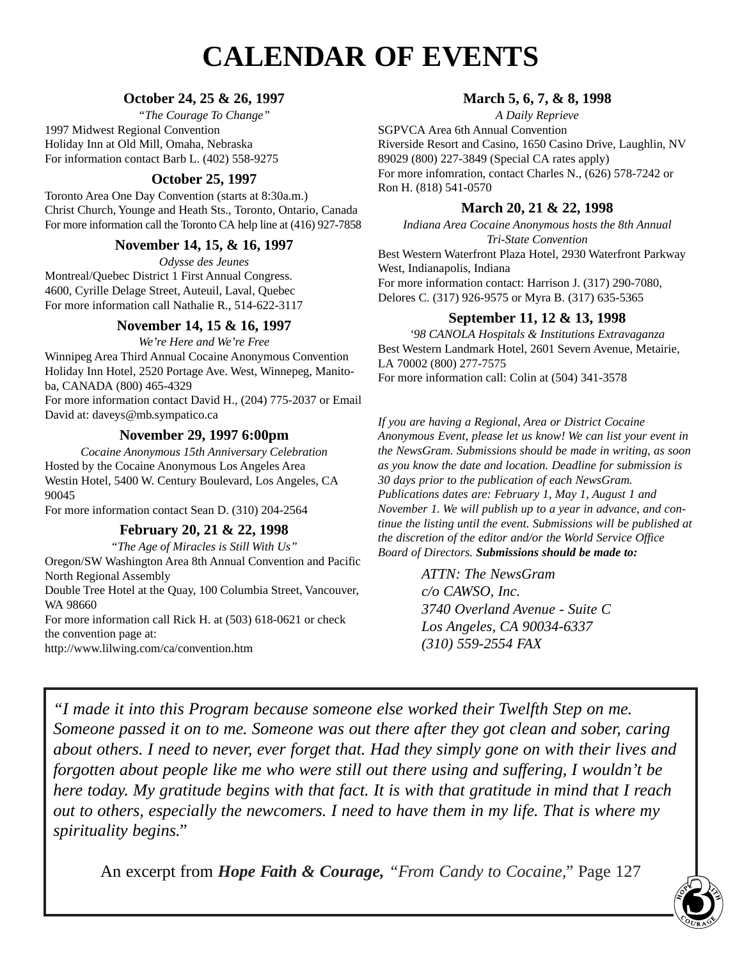## **CALENDAR OF EVENTS**

### **October 24, 25 & 26, 1997**

*"The Courage To Change"* 1997 Midwest Regional Convention Holiday Inn at Old Mill, Omaha, Nebraska For information contact Barb L. (402) 558-9275

## **October 25, 1997**

Toronto Area One Day Convention (starts at 8:30a.m.) Christ Church, Younge and Heath Sts., Toronto, Ontario, Canada For more information call the Toronto CA help line at (416) 927-7858

### **November 14, 15, & 16, 1997**

*Odysse des Jeunes* Montreal/Quebec District 1 First Annual Congress. 4600, Cyrille Delage Street, Auteuil, Laval, Quebec For more information call Nathalie R., 514-622-3117

### **November 14, 15 & 16, 1997**

*We're Here and We're Free* Winnipeg Area Third Annual Cocaine Anonymous Convention Holiday Inn Hotel, 2520 Portage Ave. West, Winnepeg, Manitoba, CANADA (800) 465-4329

For more information contact David H., (204) 775-2037 or Email David at: daveys@mb.sympatico.ca

### **November 29, 1997 6:00pm**

*Cocaine Anonymous 15th Anniversary Celebration* Hosted by the Cocaine Anonymous Los Angeles Area Westin Hotel, 5400 W. Century Boulevard, Los Angeles, CA 90045

For more information contact Sean D. (310) 204-2564

### **February 20, 21 & 22, 1998**

*"The Age of Miracles is Still With Us"*

Oregon/SW Washington Area 8th Annual Convention and Pacific North Regional Assembly

Double Tree Hotel at the Quay, 100 Columbia Street, Vancouver, WA 98660

For more information call Rick H. at (503) 618-0621 or check the convention page at:

http://www.lilwing.com/ca/convention.htm

### **March 5, 6, 7, & 8, 1998**

*A Daily Reprieve* SGPVCA Area 6th Annual Convention Riverside Resort and Casino, 1650 Casino Drive, Laughlin, NV 89029 (800) 227-3849 (Special CA rates apply) For more infomration, contact Charles N., (626) 578-7242 or Ron H. (818) 541-0570

## **March 20, 21 & 22, 1998**

*Indiana Area Cocaine Anonymous hosts the 8th Annual Tri-State Convention*

Best Western Waterfront Plaza Hotel, 2930 Waterfront Parkway West, Indianapolis, Indiana For more information contact: Harrison J. (317) 290-7080, Delores C. (317) 926-9575 or Myra B. (317) 635-5365

### **September 11, 12 & 13, 1998**

*'98 CANOLA Hospitals & Institutions Extravaganza* Best Western Landmark Hotel, 2601 Severn Avenue, Metairie, LA 70002 (800) 277-7575 For more information call: Colin at (504) 341-3578

*If you are having a Regional, Area or District Cocaine Anonymous Event, please let us know! We can list your event in the NewsGram. Submissions should be made in writing, as soon as you know the date and location. Deadline for submission is 30 days prior to the publication of each NewsGram. Publications dates are: February 1, May 1, August 1 and November 1. We will publish up to a year in advance, and continue the listing until the event. Submissions will be published at the discretion of the editor and/or the World Service Office Board of Directors. Submissions should be made to:*

> *ATTN: The NewsGram c/o CAWSO, Inc. 3740 Overland Avenue - Suite C Los Angeles, CA 90034-6337 (310) 559-2554 FAX*

*"I made it into this Program because someone else worked their Twelfth Step on me. Someone passed it on to me. Someone was out there after they got clean and sober, caring about others. I need to never, ever forget that. Had they simply gone on with their lives and forgotten about people like me who were still out there using and suffering, I wouldn't be here today. My gratitude begins with that fact. It is with that gratitude in mind that I reach out to others, especially the newcomers. I need to have them in my life. That is where my spirituality begins."*

An excerpt from *Hope Faith & Courage, "From Candy to Cocaine,"* Page 127 **3**

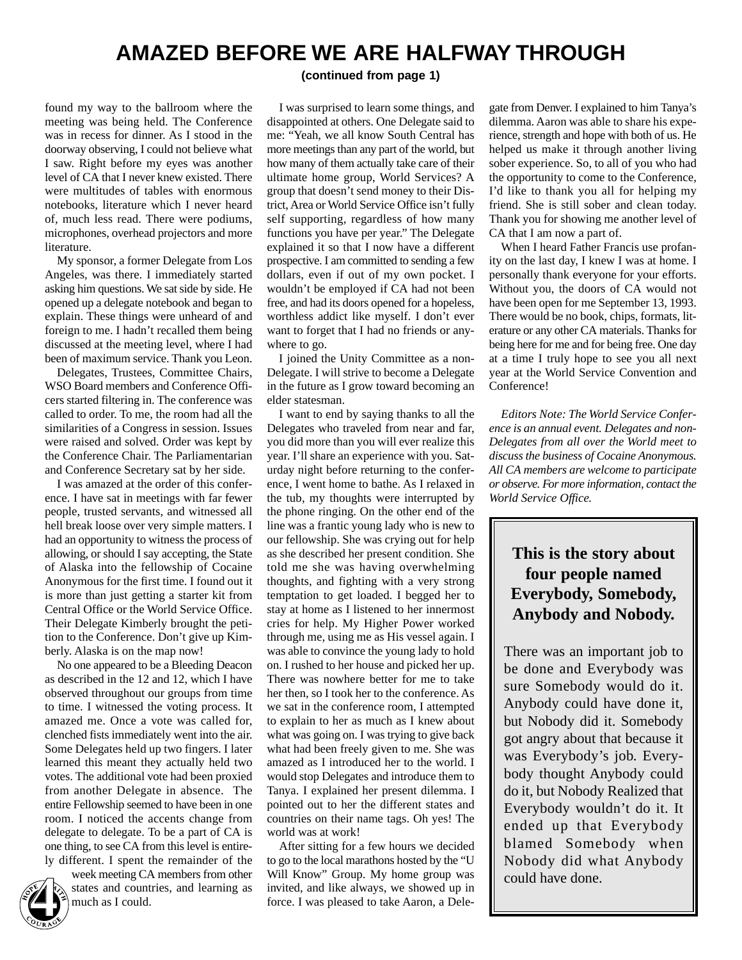## **AMAZED BEFORE WE ARE HALFWAY THROUGH**

**(continued from page 1)**

found my way to the ballroom where the meeting was being held. The Conference was in recess for dinner. As I stood in the doorway observing, I could not believe what I saw. Right before my eyes was another level of CA that I never knew existed. There were multitudes of tables with enormous notebooks, literature which I never heard of, much less read. There were podiums, microphones, overhead projectors and more literature.

My sponsor, a former Delegate from Los Angeles, was there. I immediately started asking him questions. We sat side by side. He opened up a delegate notebook and began to explain. These things were unheard of and foreign to me. I hadn't recalled them being discussed at the meeting level, where I had been of maximum service. Thank you Leon.

Delegates, Trustees, Committee Chairs, WSO Board members and Conference Officers started filtering in. The conference was called to order. To me, the room had all the similarities of a Congress in session. Issues were raised and solved. Order was kept by the Conference Chair. The Parliamentarian and Conference Secretary sat by her side.

I was amazed at the order of this conference. I have sat in meetings with far fewer people, trusted servants, and witnessed all hell break loose over very simple matters. I had an opportunity to witness the process of allowing, or should I say accepting, the State of Alaska into the fellowship of Cocaine Anonymous for the first time. I found out it is more than just getting a starter kit from Central Office or the World Service Office. Their Delegate Kimberly brought the petition to the Conference. Don't give up Kimberly. Alaska is on the map now!

No one appeared to be a Bleeding Deacon as described in the 12 and 12, which I have observed throughout our groups from time to time. I witnessed the voting process. It amazed me. Once a vote was called for, clenched fists immediately went into the air. Some Delegates held up two fingers. I later learned this meant they actually held two votes. The additional vote had been proxied from another Delegate in absence. The entire Fellowship seemed to have been in one room. I noticed the accents change from delegate to delegate. To be a part of CA is one thing, to see CA from this level is entirely different. I spent the remainder of the

week meeting CA members from other states and countries, and learning as much as I could.

I was surprised to learn some things, and disappointed at others. One Delegate said to me: "Yeah, we all know South Central has more meetings than any part of the world, but how many of them actually take care of their ultimate home group, World Services? A group that doesn't send money to their District,Area or World Service Office isn't fully self supporting, regardless of how many functions you have per year." The Delegate explained it so that I now have a different prospective. I am committed to sending a few dollars, even if out of my own pocket. I wouldn't be employed if CA had not been free, and had its doors opened for a hopeless, worthless addict like myself. I don't ever want to forget that I had no friends or anywhere to go.

I joined the Unity Committee as a non-Delegate. I will strive to become a Delegate in the future as I grow toward becoming an elder statesman.

I want to end by saying thanks to all the Delegates who traveled from near and far, you did more than you will ever realize this year. I'll share an experience with you. Saturday night before returning to the conference, I went home to bathe. As I relaxed in the tub, my thoughts were interrupted by the phone ringing. On the other end of the line was a frantic young lady who is new to our fellowship. She was crying out for help as she described her present condition. She told me she was having overwhelming thoughts, and fighting with a very strong temptation to get loaded. I begged her to stay at home as I listened to her innermost cries for help. My Higher Power worked through me, using me as His vessel again. I was able to convince the young lady to hold on. I rushed to her house and picked her up. There was nowhere better for me to take her then, so I took her to the conference. As we sat in the conference room, I attempted to explain to her as much as I knew about what was going on. I was trying to give back what had been freely given to me. She was amazed as I introduced her to the world. I would stop Delegates and introduce them to Tanya. I explained her present dilemma. I pointed out to her the different states and countries on their name tags. Oh yes! The world was at work!

After sitting for a few hours we decided to go to the local marathons hosted by the "U Will Know" Group. My home group was invited, and like always, we showed up in force. I was pleased to take Aaron, a Dele-

gate from Denver. I explained to him Tanya's dilemma. Aaron was able to share his experience, strength and hope with both of us. He helped us make it through another living sober experience. So, to all of you who had the opportunity to come to the Conference, I'd like to thank you all for helping my friend. She is still sober and clean today. Thank you for showing me another level of CA that I am now a part of.

When I heard Father Francis use profanity on the last day, I knew I was at home. I personally thank everyone for your efforts. Without you, the doors of CA would not have been open for me September 13, 1993. There would be no book, chips, formats, literature or any other CA materials. Thanks for being here for me and for being free. One day at a time I truly hope to see you all next year at the World Service Convention and Conference!

*Editors Note: The World Service Conference is an annual event. Delegates and non-Delegates from all over the World meet to discuss the business of Cocaine Anonymous. All CA members are welcome to participate or observe. For more information, contact the World Service Office.*

## **This is the story about four people named Everybody, Somebody, Anybody and Nobody.**

There was an important job to be done and Everybody was sure Somebody would do it. Anybody could have done it, but Nobody did it. Somebody got angry about that because it was Everybody's job. Everybody thought Anybody could do it, but Nobody Realized that Everybody wouldn't do it. It ended up that Everybody blamed Somebody when Nobody did what Anybody could have done.

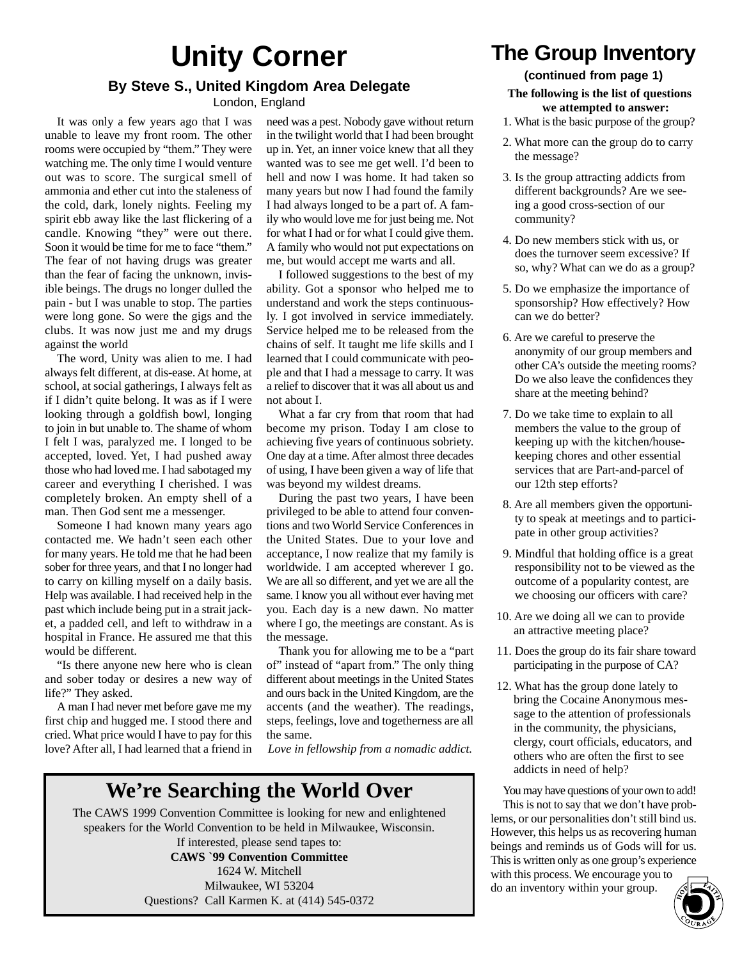## **Unity Corner By Steve S., United Kingdom Area Delegate**

London, England

It was only a few years ago that I was unable to leave my front room. The other rooms were occupied by "them." They were watching me. The only time I would venture out was to score. The surgical smell of ammonia and ether cut into the staleness of the cold, dark, lonely nights. Feeling my spirit ebb away like the last flickering of a candle. Knowing "they" were out there. Soon it would be time for me to face "them." The fear of not having drugs was greater than the fear of facing the unknown, invisible beings. The drugs no longer dulled the pain - but I was unable to stop. The parties were long gone. So were the gigs and the clubs. It was now just me and my drugs against the world

The word, Unity was alien to me. I had always felt different, at dis-ease. At home, at school, at social gatherings, I always felt as if I didn't quite belong. It was as if I were looking through a goldfish bowl, longing to join in but unable to. The shame of whom I felt I was, paralyzed me. I longed to be accepted, loved. Yet, I had pushed away those who had loved me. I had sabotaged my career and everything I cherished. I was completely broken. An empty shell of a man. Then God sent me a messenger.

Someone I had known many years ago contacted me. We hadn't seen each other for many years. He told me that he had been sober for three years, and that I no longer had to carry on killing myself on a daily basis. Help was available. I had received help in the past which include being put in a strait jacket, a padded cell, and left to withdraw in a hospital in France. He assured me that this would be different.

"Is there anyone new here who is clean and sober today or desires a new way of life?" They asked.

A man I had never met before gave me my first chip and hugged me. I stood there and cried. What price would I have to pay for this love? After all, I had learned that a friend in

need was a pest. Nobody gave without return in the twilight world that I had been brought up in. Yet, an inner voice knew that all they wanted was to see me get well. I'd been to hell and now I was home. It had taken so many years but now I had found the family I had always longed to be a part of. A family who would love me for just being me. Not for what I had or for what I could give them. A family who would not put expectations on me, but would accept me warts and all.

I followed suggestions to the best of my ability. Got a sponsor who helped me to understand and work the steps continuously. I got involved in service immediately. Service helped me to be released from the chains of self. It taught me life skills and I learned that I could communicate with people and that I had a message to carry. It was a relief to discover that it was all about us and not about I.

What a far cry from that room that had become my prison. Today I am close to achieving five years of continuous sobriety. One day at a time. After almost three decades of using, I have been given a way of life that was beyond my wildest dreams.

During the past two years, I have been privileged to be able to attend four conventions and two World Service Conferences in the United States. Due to your love and acceptance, I now realize that my family is worldwide. I am accepted wherever I go. We are all so different, and yet we are all the same. I know you all without ever having met you. Each day is a new dawn. No matter where I go, the meetings are constant. As is the message.

Thank you for allowing me to be a "part of" instead of "apart from." The only thing different about meetings in the United States and ours back in the United Kingdom, are the accents (and the weather). The readings, steps, feelings, love and togetherness are all the same.

*Love in fellowship from a nomadic addict.*

## **We're Searching the World Over**

The CAWS 1999 Convention Committee is looking for new and enlightened speakers for the World Convention to be held in Milwaukee, Wisconsin.

If interested, please send tapes to: **CAWS `99 Convention Committee** 1624 W. Mitchell Milwaukee, WI 53204 Questions? Call Karmen K. at (414) 545-0372

## **The Group Inventory**

## **(continued from page 1)**

#### **The following is the list of questions we attempted to answer:**

- 1. What is the basic purpose of the group?
- 2. What more can the group do to carry the message?
- 3. Is the group attracting addicts from different backgrounds? Are we seeing a good cross-section of our community?
- 4. Do new members stick with us, or does the turnover seem excessive? If so, why? What can we do as a group?
- 5. Do we emphasize the importance of sponsorship? How effectively? How can we do better?
- 6. Are we careful to preserve the anonymity of our group members and other CA's outside the meeting rooms? Do we also leave the confidences they share at the meeting behind?
- 7. Do we take time to explain to all members the value to the group of keeping up with the kitchen/housekeeping chores and other essential services that are Part-and-parcel of our 12th step efforts?
- 8. Are all members given the opportunity to speak at meetings and to participate in other group activities?
- 9. Mindful that holding office is a great responsibility not to be viewed as the outcome of a popularity contest, are we choosing our officers with care?
- 10. Are we doing all we can to provide an attractive meeting place?
- 11. Does the group do its fair share toward participating in the purpose of CA?
- 12. What has the group done lately to bring the Cocaine Anonymous message to the attention of professionals in the community, the physicians, clergy, court officials, educators, and others who are often the first to see addicts in need of help?

You may have questions of your own to add! This is not to say that we don't have problems, or our personalities don't still bind us. However, this helps us as recovering human beings and reminds us of Gods will for us. This is written only as one group's experience with this process. We encourage you to do an inventory within your group.

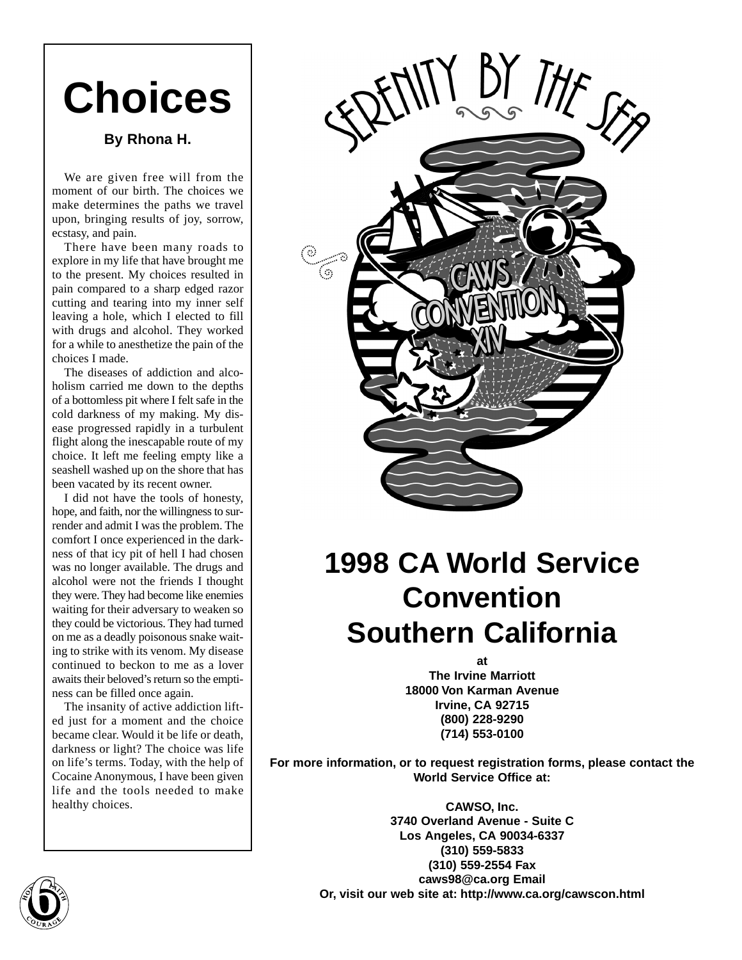# **Choices**

## **By Rhona H.**

We are given free will from the moment of our birth. The choices we make determines the paths we travel upon, bringing results of joy, sorrow, ecstasy, and pain.

There have been many roads to explore in my life that have brought me to the present. My choices resulted in pain compared to a sharp edged razor cutting and tearing into my inner self leaving a hole, which I elected to fill with drugs and alcohol. They worked for a while to anesthetize the pain of the choices I made.

The diseases of addiction and alcoholism carried me down to the depths of a bottomless pit where I felt safe in the cold darkness of my making. My disease progressed rapidly in a turbulent flight along the inescapable route of my choice. It left me feeling empty like a seashell washed up on the shore that has been vacated by its recent owner.

I did not have the tools of honesty, hope, and faith, nor the willingness to surrender and admit I was the problem. The comfort I once experienced in the darkness of that icy pit of hell I had chosen was no longer available. The drugs and alcohol were not the friends I thought they were. They had become like enemies waiting for their adversary to weaken so they could be victorious. They had turned on me as a deadly poisonous snake waiting to strike with its venom. My disease continued to beckon to me as a lover awaits their beloved's return so the emptiness can be filled once again.

The insanity of active addiction lifted just for a moment and the choice became clear. Would it be life or death, darkness or light? The choice was life on life's terms. Today, with the help of Cocaine Anonymous, I have been given life and the tools needed to make healthy choices.



## **1998 CA World Service Convention Southern California**

**at The Irvine Marriott 18000 Von Karman Avenue Irvine, CA 92715 (800) 228-9290 (714) 553-0100**

**For more information, or to request registration forms, please contact the World Service Office at:**

> **CAWSO, Inc. 3740 Overland Avenue - Suite C Los Angeles, CA 90034-6337 (310) 559-5833 (310) 559-2554 Fax caws98@ca.org Email Or, visit our web site at: http://www.ca.org/cawscon.html**

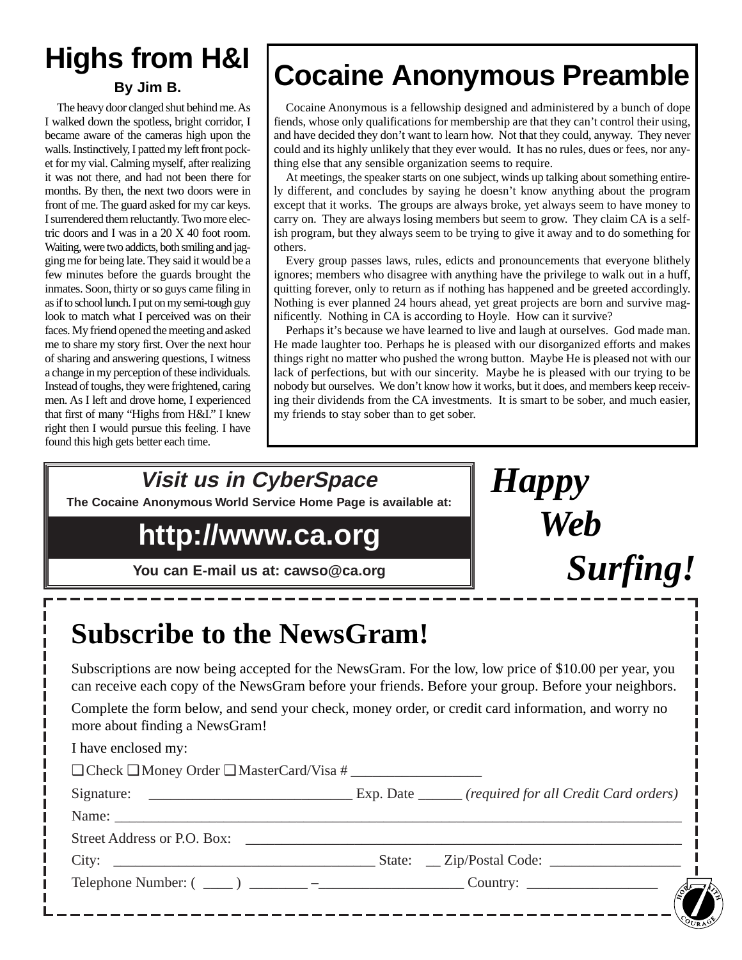## **Highs from H&I**

## **By Jim B.**

The heavy door clanged shut behind me. As I walked down the spotless, bright corridor, I became aware of the cameras high upon the walls. Instinctively, I patted my left front pocket for my vial. Calming myself, after realizing it was not there, and had not been there for months. By then, the next two doors were in front of me. The guard asked for my car keys. I surrendered them reluctantly. Two more electric doors and I was in a 20 X 40 foot room. Waiting, were two addicts, both smiling and jagging me for being late. They said it would be a few minutes before the guards brought the inmates. Soon, thirty or so guys came filing in as if to school lunch. I put on my semi-tough guy look to match what I perceived was on their faces. My friend opened the meeting and asked me to share my story first. Over the next hour of sharing and answering questions, I witness a change in my perception of these individuals. Instead of toughs, they were frightened, caring men. As I left and drove home, I experienced that first of many "Highs from H&I." I knew right then I would pursue this feeling. I have found this high gets better each time.

 $\mathbb{F}^{\mathsf{m}}$ 

@@@@ @@@@@@ @@@@ @@@@@@  $\mp$ @@@@@@ @@@@ @@@@ @@@@@@@@@@@@@@@@ @@@@@@@@@@@@@@@@ @@@@@@@@@@@@@@@@ @@@@@@@@@@@@@@@@ @@@@@@@@@@@@@@@@ @@@@@@@@@@@@@@@@ @@@@@@@@@@@@@@@@ @@@@@@@@@@@@@@@@ @@@@@@@@@@@@@@@@ @@@@@@@@@@@@@@@@ @@@@@@@@@@@@@@@@ @@@@@@@@@@@@@@@@ @@@@@@@@@@@@@@@@ @@@@@@@@@@@@@@@@ @@@@@@@@@@@@@@@@ @@@@@@@@@@@@@@@@ @@@@@@@@@@@@@@@@ @@@@@@ @@ @@@@ @@ @@

@@g@@g@@g@@g@@g@@g@@@@@@@@ @@@@@@@@

## **Cocaine Anonymous Preamble**

Cocaine Anonymous is a fellowship designed and administered by a bunch of dope fiends, whose only qualifications for membership are that they can't control their using, and have decided they don't want to learn how. Not that they could, anyway. They never could and its highly unlikely that they ever would. It has no rules, dues or fees, nor anything else that any sensible organization seems to require.

At meetings, the speaker starts on one subject, winds up talking about something entirely different, and concludes by saying he doesn't know anything about the program except that it works. The groups are always broke, yet always seem to have money to carry on. They are always losing members but seem to grow. They claim CA is a selfish program, but they always seem to be trying to give it away and to do something for others.

Every group passes laws, rules, edicts and pronouncements that everyone blithely ignores; members who disagree with anything have the privilege to walk out in a huff, quitting forever, only to return as if nothing has happened and be greeted accordingly. Nothing is ever planned 24 hours ahead, yet great projects are born and survive magnificently. Nothing in CA is according to Hoyle. How can it survive?

Perhaps it's because we have learned to live and laugh at ourselves. God made man. He made laughter too. Perhaps he is pleased with our disorganized efforts and makes things right no matter who pushed the wrong button. Maybe He is pleased not with our lack of perfections, but with our sincerity. Maybe he is pleased with our trying to be nobody but ourselves. We don't know how it works, but it does, and members keep receiving their dividends from the CA investments. It is smart to be sober, and much easier, my friends to stay sober than to get sober.

*Happy*

*Web*

*Surfing!*

**Visit us in CyberSpace**

**The Cocaine Anonymous World Service Home Page is available at:**

## **http://www.ca.org**

**You can E-mail us at: cawso@ca.org**

| <b>Subscribe to the NewsGram!</b>                        |                                                                                                                                                                                                                |
|----------------------------------------------------------|----------------------------------------------------------------------------------------------------------------------------------------------------------------------------------------------------------------|
|                                                          | Subscriptions are now being accepted for the NewsGram. For the low, low price of \$10.00 per year, you<br>can receive each copy of the NewsGram before your friends. Before your group. Before your neighbors. |
| more about finding a NewsGram!                           | Complete the form below, and send your check, money order, or credit card information, and worry no                                                                                                            |
| I have enclosed my:                                      |                                                                                                                                                                                                                |
| $\Box$ Check $\Box$ Money Order $\Box$ MasterCard/Visa # |                                                                                                                                                                                                                |
|                                                          |                                                                                                                                                                                                                |
|                                                          |                                                                                                                                                                                                                |
| Street Address or P.O. Box:                              |                                                                                                                                                                                                                |
|                                                          |                                                                                                                                                                                                                |
|                                                          |                                                                                                                                                                                                                |